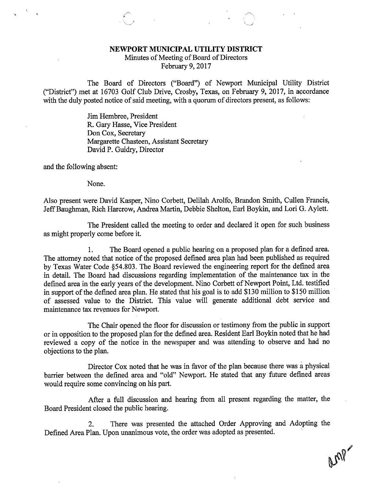## NEWPORT MUNICIPAL UTILITY DISTRICT

Minutes of Meeting of Board of Directors February 9, 2017

The Board of Directors ("Board") of Newport Municipal Utility District ("District") met at 16703 Golf Club Drive, Crosby, Texas, on February 9, 2017, in accordance with the duly posted notice of said meeting, with a quorum of directors present, as follows:

> Jim Hembree, President R. Gary Hasse, Vice President Don Cox, Secretary Margarette Chasteen, Assistant Secretary David P. Guidry, Director

and the following absent:

None.

Also present were David Kasper, Nino Corbett, Delilah Arolfo, Brandon Smith, Cullen Francis, Jeff Baughman, Rich Harcrow, Andrea Martin, Debbie Shelton, Earl Boykin, and Lori G. Aylett.

The President called the meeting to order and declared it open for such business as might properly come before it.

1. The Board opened a public hearing on a proposed plan for a defined area. The attorney noted that notice of the proposed defined area plan had been published as required by Texas Water Code §54.803. The Board reviewed the engineering report for the defined area in detail. The Board had discussions regarding implementation of the maintenance tax in the defined area in the early years of the development. Nino Corbett of Newport Point, Ltd. testified in support of the defined area plan. He stated that his goal is to add \$130 million to \$150 million of assessed value to the District. This value will generate additional debt service and maintenance tax revenues for Newport.

The Chair opened the floor for discussion or testimony from the public in support or in opposition to the proposed plan for the defined area. Resident Earl Boykin noted that he had reviewed a copy of the notice in the newspaper and was attending to observe and had no objections to the plan.

Director Cox noted that he was in favor of the plan because there was a physical barrier between the defined area and "old" Newport. He stated that any future defined areas would require some convincing on his part.

After a full discussion and hearing from all present regarding the matter, the Board President closed the public hearing.

2. There was presented the attached Order Approving and Adopting the Defined Area Plan. Upon unanimous vote, the order was adopted as presented.

an?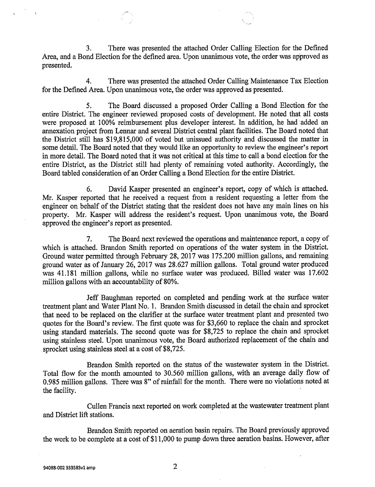3. There was presented the attached Order Calling Election for the Defined Area, and a Bond Election for the defined area. Upon unanimous vote, the order was approved as presented.

4. There was presented the attached Order Calling Maintenance Tax Election for the Defined Area. Upon unanimous vote, the order was approved as presented.

5. The Board discussed a proposed Order Calling a Bond Election for the entire District. The engineer reviewed proposed costs of development. He noted that all costs were proposed at 100% reimbursement plus developer interest. In addition, he had added an annexation project from Lennar and several District central plant facilities. The Board noted that the District still has \$19,815,000 of voted but unissued authority and discussed the matter in some detail. The Board noted that they would like an opportunity to review the engineer's report in more detail. The Board noted that it was not critical at this time to call a bond election for the entire District, as the District still had plenty of remaining voted authority. Accordingly, the Board tabled consideration of an Order Calling a Bond Election for the entire District.

6. David Kasper presented an engineer's report, copy of which is attached. Mr. Kasper reported that he received a request from a resident requesting a letter from the engineer on behalf of the District stating that the resident does not have any main lines on his property. Mr. Kasper will address the resident's request. Upon unanimous vote, the Board approved the engineer's report as presented.

7. The Board next reviewed the operations and maintenance report, a copy of which is attached. Brandon Smith reported on operations of the water system in the District. Ground water permitted through February 28, 2017 was 175.200 million gallons, and remaining ground water as of January 26, 2017 was 28.627 million gallons. Total ground water produced was 41.181 million gallons, while no surface water was produced. Billed water was 17.602 million gallons with an accountability of 80%.

Jeff Baughman reported on completed and pending work at the surface water treatment plant and Water Plant No. 1. Brandon Smith discussed in detail the chain and sprocket that need to be replaced on the clarifier at the surface water treatment plant and presented two quotes for the Board's review. The first quote was for \$3,660 to replace the chain and sprocket using standard materials. The second quote was for \$8,725 to replace the chain and sprocket using stainless steel. Upon unanimous vote, the Board authorized replacement of the chain and sprocket using stainless steel at a cost of \$8,725.

Brandon Smith reported on the status of the wastewater system in the District. Total flow for the month amounted to 30.560 million gallons, with an average daily flow of 0.985 million gallons. There was 8" of rainfall for the month. There were no violations noted at the facility.

Cullen Francis next reported on work completed at the wastewater treatment plant and District lift stations.

Brandon Smith reported on aeration basin repairs. The Board previously approved the work to be complete at a cost of \$11,000 to pump down three aeration basins. However, after